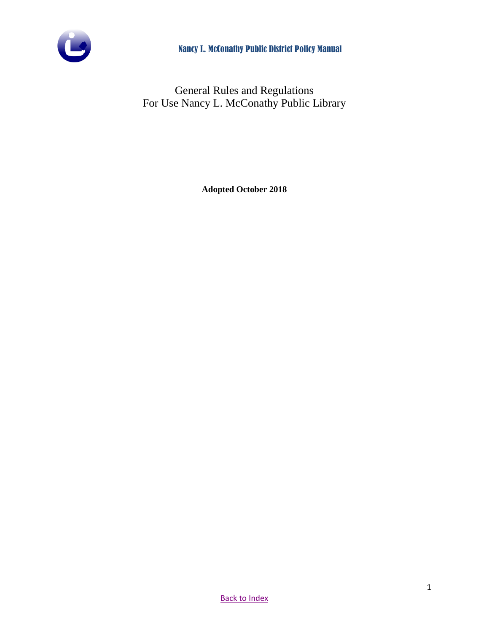

General Rules and Regulations For Use Nancy L. McConathy Public Library

**Adopted October 2018**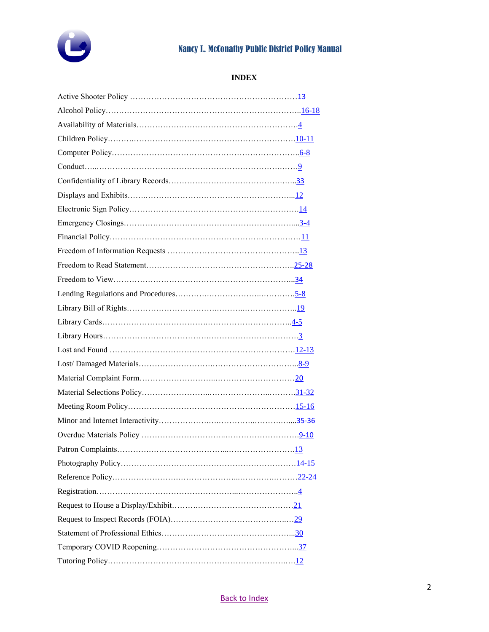

# Nancy L. McConathy Public District Policy Manual

# **INDEX**

<span id="page-1-0"></span>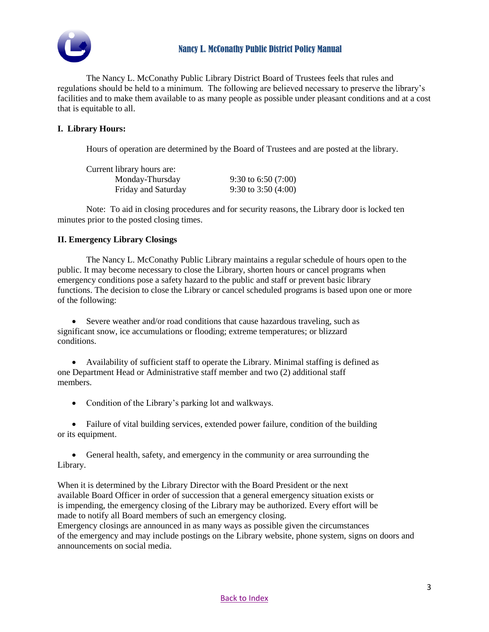

The Nancy L. McConathy Public Library District Board of Trustees feels that rules and regulations should be held to a minimum. The following are believed necessary to preserve the library's facilities and to make them available to as many people as possible under pleasant conditions and at a cost that is equitable to all.

## <span id="page-2-1"></span>**I. Library Hours:**

Hours of operation are determined by the Board of Trustees and are posted at the library.

| Current library hours are: |                       |
|----------------------------|-----------------------|
| Monday-Thursday            | 9:30 to 6:50 $(7:00)$ |
| Friday and Saturday        | 9:30 to 3:50 $(4:00)$ |

Note: To aid in closing procedures and for security reasons, the Library door is locked ten minutes prior to the posted closing times.

#### <span id="page-2-0"></span>**II. Emergency Library Closings**

The Nancy L. McConathy Public Library maintains a regular schedule of hours open to the public. It may become necessary to close the Library, shorten hours or cancel programs when emergency conditions pose a safety hazard to the public and staff or prevent basic library functions. The decision to close the Library or cancel scheduled programs is based upon one or more of the following:

• Severe weather and/or road conditions that cause hazardous traveling, such as significant snow, ice accumulations or flooding; extreme temperatures; or blizzard conditions.

• Availability of sufficient staff to operate the Library. Minimal staffing is defined as one Department Head or Administrative staff member and two (2) additional staff members.

• Condition of the Library's parking lot and walkways.

• Failure of vital building services, extended power failure, condition of the building or its equipment.

• General health, safety, and emergency in the community or area surrounding the Library.

When it is determined by the Library Director with the Board President or the next available Board Officer in order of succession that a general emergency situation exists or is impending, the emergency closing of the Library may be authorized. Every effort will be made to notify all Board members of such an emergency closing.

Emergency closings are announced in as many ways as possible given the circumstances of the emergency and may include postings on the Library website, phone system, signs on doors and announcements on social media.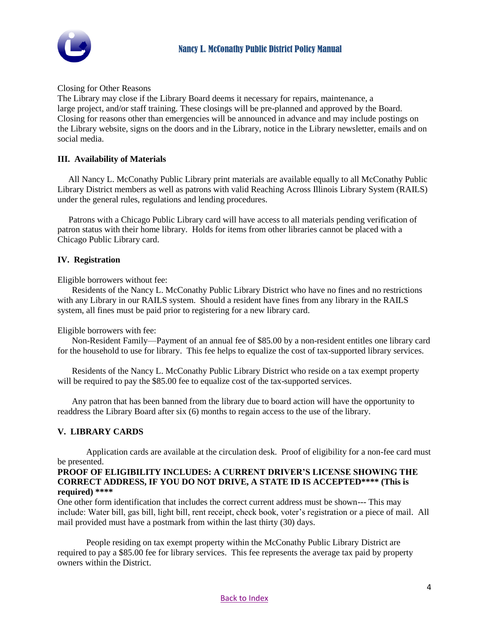

Closing for Other Reasons

The Library may close if the Library Board deems it necessary for repairs, maintenance, a large project, and/or staff training. These closings will be pre-planned and approved by the Board. Closing for reasons other than emergencies will be announced in advance and may include postings on the Library website, signs on the doors and in the Library, notice in the Library newsletter, emails and on social media.

#### <span id="page-3-0"></span>**III. Availability of Materials**

All Nancy L. McConathy Public Library print materials are available equally to all McConathy Public Library District members as well as patrons with valid Reaching Across Illinois Library System (RAILS) under the general rules, regulations and lending procedures.

 Patrons with a Chicago Public Library card will have access to all materials pending verification of patron status with their home library. Holds for items from other libraries cannot be placed with a Chicago Public Library card.

#### <span id="page-3-2"></span>**IV. Registration**

Eligible borrowers without fee:

Residents of the Nancy L. McConathy Public Library District who have no fines and no restrictions with any Library in our RAILS system. Should a resident have fines from any library in the RAILS system, all fines must be paid prior to registering for a new library card.

Eligible borrowers with fee:

Non-Resident Family—Payment of an annual fee of \$85.00 by a non-resident entitles one library card for the household to use for library. This fee helps to equalize the cost of tax-supported library services.

Residents of the Nancy L. McConathy Public Library District who reside on a tax exempt property will be required to pay the \$85.00 fee to equalize cost of the tax-supported services.

Any patron that has been banned from the library due to board action will have the opportunity to readdress the Library Board after six (6) months to regain access to the use of the library.

#### <span id="page-3-1"></span>**V. LIBRARY CARDS**

Application cards are available at the circulation desk. Proof of eligibility for a non-fee card must be presented.

#### **PROOF OF ELIGIBILITY INCLUDES: A CURRENT DRIVER'S LICENSE SHOWING THE CORRECT ADDRESS, IF YOU DO NOT DRIVE, A STATE ID IS ACCEPTED\*\*\*\* (This is required) \*\*\*\***

One other form identification that includes the correct current address must be shown--- This may include: Water bill, gas bill, light bill, rent receipt, check book, voter's registration or a piece of mail. All mail provided must have a postmark from within the last thirty (30) days.

People residing on tax exempt property within the McConathy Public Library District are required to pay a \$85.00 fee for library services. This fee represents the average tax paid by property owners within the District.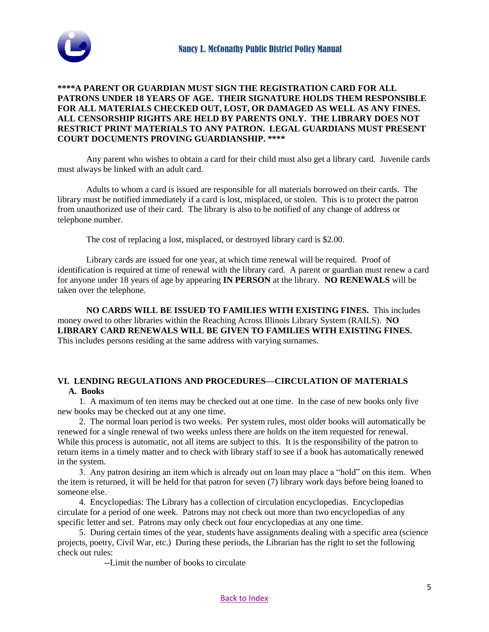

### **\*\*\*\*A PARENT OR GUARDIAN MUST SIGN THE REGISTRATION CARD FOR ALL PATRONS UNDER 18 YEARS OF AGE. THEIR SIGNATURE HOLDS THEM RESPONSIBLE FOR ALL MATERIALS CHECKED OUT, LOST, OR DAMAGED AS WELL AS ANY FINES. ALL CENSORSHIP RIGHTS ARE HELD BY PARENTS ONLY. THE LIBRARY DOES NOT RESTRICT PRINT MATERIALS TO ANY PATRON. LEGAL GUARDIANS MUST PRESENT COURT DOCUMENTS PROVING GUARDIANSHIP. \*\*\*\***

Any parent who wishes to obtain a card for their child must also get a library card. Juvenile cards must always be linked with an adult card.

Adults to whom a card is issued are responsible for all materials borrowed on their cards. The library must be notified immediately if a card is lost, misplaced, or stolen. This is to protect the patron from unauthorized use of their card. The library is also to be notified of any change of address or telephone number.

The cost of replacing a lost, misplaced, or destroyed library card is \$2.00.

Library cards are issued for one year, at which time renewal will be required. Proof of identification is required at time of renewal with the library card. A parent or guardian must renew a card for anyone under 18 years of age by appearing **IN PERSON** at the library. **NO RENEWALS** will be taken over the telephone.

**NO CARDS WILL BE ISSUED TO FAMILIES WITH EXISTING FINES.** This includes money owed to other libraries within the Reaching Across Illinois Library System (RAILS). **NO LIBRARY CARD RENEWALS WILL BE GIVEN TO FAMILIES WITH EXISTING FINES.** This includes persons residing at the same address with varying surnames.

#### **VI. LENDING REGULATIONS AND PROCEDURES—CIRCULATION OF MATERIALS A. Books**

1. A maximum of ten items may be checked out at one time. In the case of new books only five new books may be checked out at any one time.

2. The normal loan period is two weeks. Per system rules, most older books will automatically be renewed for a single renewal of two weeks unless there are holds on the item requested for renewal. While this process is automatic, not all items are subject to this. It is the responsibility of the patron to return items in a timely matter and to check with library staff to see if a book has automatically renewed in the system.

3. Any patron desiring an item which is already out on loan may place a "hold" on this item. When the item is returned, it will be held for that patron for seven (7) library work days before being loaned to someone else.

4. Encyclopedias: The Library has a collection of circulation encyclopedias. Encyclopedias circulate for a period of one week. Patrons may not check out more than two encyclopedias of any specific letter and set. Patrons may only check out four encyclopedias at any one time.

5. During certain times of the year, students have assignments dealing with a specific area (science projects, poetry, Civil War, etc.) During these periods, the Librarian has the right to set the following check out rules:

--Limit the number of books to circulate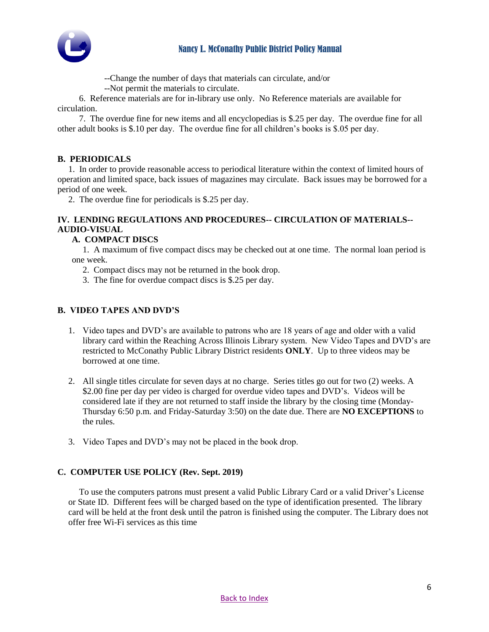

# Nancy L. McConathy Public District Policy Manual

--Change the number of days that materials can circulate, and/or

--Not permit the materials to circulate.

6. Reference materials are for in-library use only. No Reference materials are available for circulation.

7. The overdue fine for new items and all encyclopedias is \$.25 per day. The overdue fine for all other adult books is \$.10 per day. The overdue fine for all children's books is \$.05 per day.

## **B. PERIODICALS**

1. In order to provide reasonable access to periodical literature within the context of limited hours of operation and limited space, back issues of magazines may circulate. Back issues may be borrowed for a period of one week.

2. The overdue fine for periodicals is \$.25 per day.

## <span id="page-5-0"></span>**IV. LENDING REGULATIONS AND PROCEDURES-- CIRCULATION OF MATERIALS-- AUDIO-VISUAL**

## **A. COMPACT DISCS**

1. A maximum of five compact discs may be checked out at one time. The normal loan period is one week.

- 2. Compact discs may not be returned in the book drop.
- 3. The fine for overdue compact discs is \$.25 per day.

## **B. VIDEO TAPES AND DVD'S**

- 1. Video tapes and DVD's are available to patrons who are 18 years of age and older with a valid library card within the Reaching Across Illinois Library system. New Video Tapes and DVD's are restricted to McConathy Public Library District residents **ONLY**. Up to three videos may be borrowed at one time.
- 2. All single titles circulate for seven days at no charge. Series titles go out for two (2) weeks. A \$2.00 fine per day per video is charged for overdue video tapes and DVD's. Videos will be considered late if they are not returned to staff inside the library by the closing time (Monday-Thursday 6:50 p.m. and Friday-Saturday 3:50) on the date due. There are **NO EXCEPTIONS** to the rules.
- 3. Video Tapes and DVD's may not be placed in the book drop.

## **C. COMPUTER USE POLICY (Rev. Sept. 2019)**

To use the computers patrons must present a valid Public Library Card or a valid Driver's License or State ID. Different fees will be charged based on the type of identification presented. The library card will be held at the front desk until the patron is finished using the computer. The Library does not offer free Wi-Fi services as this time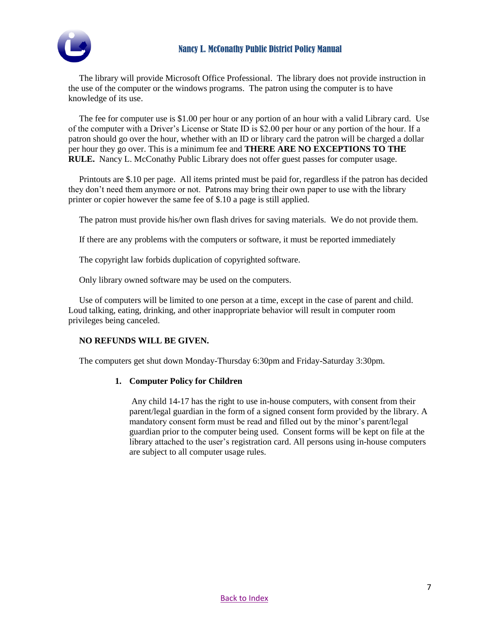

The library will provide Microsoft Office Professional. The library does not provide instruction in the use of the computer or the windows programs. The patron using the computer is to have knowledge of its use.

The fee for computer use is \$1.00 per hour or any portion of an hour with a valid Library card. Use of the computer with a Driver's License or State ID is \$2.00 per hour or any portion of the hour. If a patron should go over the hour, whether with an ID or library card the patron will be charged a dollar per hour they go over. This is a minimum fee and **THERE ARE NO EXCEPTIONS TO THE RULE.** Nancy L. McConathy Public Library does not offer guest passes for computer usage.

Printouts are \$.10 per page. All items printed must be paid for, regardless if the patron has decided they don't need them anymore or not. Patrons may bring their own paper to use with the library printer or copier however the same fee of \$.10 a page is still applied.

The patron must provide his/her own flash drives for saving materials. We do not provide them.

If there are any problems with the computers or software, it must be reported immediately

The copyright law forbids duplication of copyrighted software.

Only library owned software may be used on the computers.

Use of computers will be limited to one person at a time, except in the case of parent and child. Loud talking, eating, drinking, and other inappropriate behavior will result in computer room privileges being canceled.

#### **NO REFUNDS WILL BE GIVEN.**

<span id="page-6-0"></span>The computers get shut down Monday-Thursday 6:30pm and Friday-Saturday 3:30pm.

#### **1. Computer Policy for Children**

Any child 14-17 has the right to use in-house computers, with consent from their parent/legal guardian in the form of a signed consent form provided by the library. A mandatory consent form must be read and filled out by the minor's parent/legal guardian prior to the computer being used. Consent forms will be kept on file at the library attached to the user's registration card. All persons using in-house computers are subject to all computer usage rules.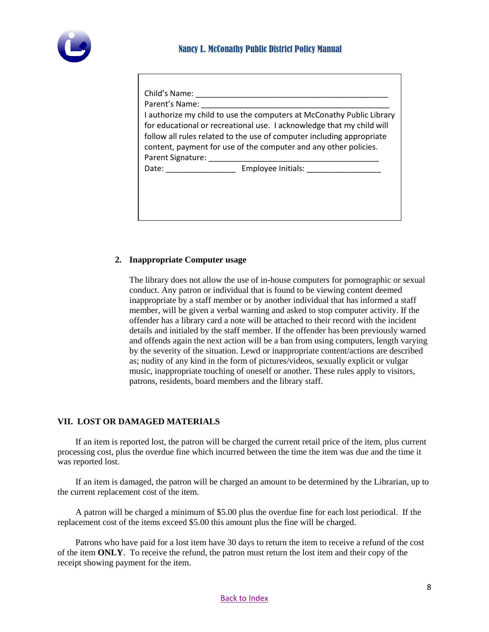

| Child's Name:     |                                                                                                                                           |
|-------------------|-------------------------------------------------------------------------------------------------------------------------------------------|
| Parent's Name:    |                                                                                                                                           |
|                   | I authorize my child to use the computers at McConathy Public Library                                                                     |
|                   | for educational or recreational use. I acknowledge that my child will                                                                     |
|                   | follow all rules related to the use of computer including appropriate<br>content, payment for use of the computer and any other policies. |
| Parent Signature: |                                                                                                                                           |
| Date:             | Employee Initials:                                                                                                                        |
|                   |                                                                                                                                           |
|                   |                                                                                                                                           |
|                   |                                                                                                                                           |
|                   |                                                                                                                                           |

#### **2. Inappropriate Computer usage**

The library does not allow the use of in-house computers for pornographic or sexual conduct. Any patron or individual that is found to be viewing content deemed inappropriate by a staff member or by another individual that has informed a staff member, will be given a verbal warning and asked to stop computer activity. If the offender has a library card a note will be attached to their record with the incident details and initialed by the staff member. If the offender has been previously warned and offends again the next action will be a ban from using computers, length varying by the severity of the situation. Lewd or inappropriate content/actions are described as; nudity of any kind in the form of pictures/videos, sexually explicit or vulgar music, inappropriate touching of oneself or another. These rules apply to visitors, patrons, residents, board members and the library staff.

#### <span id="page-7-0"></span>**VII. LOST OR DAMAGED MATERIALS**

If an item is reported lost, the patron will be charged the current retail price of the item, plus current processing cost, plus the overdue fine which incurred between the time the item was due and the time it was reported lost.

If an item is damaged, the patron will be charged an amount to be determined by the Librarian, up to the current replacement cost of the item.

A patron will be charged a minimum of \$5.00 plus the overdue fine for each lost periodical. If the replacement cost of the items exceed \$5.00 this amount plus the fine will be charged.

Patrons who have paid for a lost item have 30 days to return the item to receive a refund of the cost of the item **ONLY**. To receive the refund, the patron must return the lost item and their copy of the receipt showing payment for the item.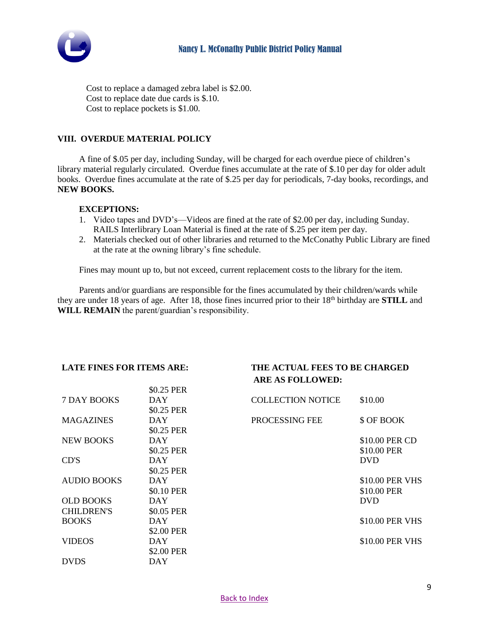

Cost to replace a damaged zebra label is \$2.00. Cost to replace date due cards is \$.10. Cost to replace pockets is \$1.00.

## <span id="page-8-0"></span>**VIII. OVERDUE MATERIAL POLICY**

A fine of \$.05 per day, including Sunday, will be charged for each overdue piece of children's library material regularly circulated. Overdue fines accumulate at the rate of \$.10 per day for older adult books. Overdue fines accumulate at the rate of \$.25 per day for periodicals, 7-day books, recordings, and **NEW BOOKS.**

#### **EXCEPTIONS:**

- 1. Video tapes and DVD's—Videos are fined at the rate of \$2.00 per day, including Sunday. RAILS Interlibrary Loan Material is fined at the rate of \$.25 per item per day.
- 2. Materials checked out of other libraries and returned to the McConathy Public Library are fined at the rate at the owning library's fine schedule.

Fines may mount up to, but not exceed, current replacement costs to the library for the item.

Parents and/or guardians are responsible for the fines accumulated by their children/wards while they are under 18 years of age. After 18, those fines incurred prior to their 18th birthday are **STILL** and **WILL REMAIN** the parent/guardian's responsibility.

|                    | \$0.25 PER |
|--------------------|------------|
| <b>7 DAY BOOKS</b> | <b>DAY</b> |
|                    | \$0.25 PER |
| <b>MAGAZINES</b>   | DAY        |
|                    | \$0.25 PER |
| <b>NEW BOOKS</b>   | DAY        |
|                    | \$0.25 PER |
| CD'S               | DAY        |
|                    | \$0.25 PER |
| AUDIO BOOKS        | DAY        |
|                    | \$0.10 PER |
| <b>OLD BOOKS</b>   | DAY        |
| <b>CHILDREN'S</b>  | \$0.05 PER |
| <b>BOOKS</b>       | DAY        |
|                    | \$2.00 PER |
| <b>VIDEOS</b>      | DAY        |
|                    | \$2.00 PER |
| <b>DVDS</b>        | DAY        |

### **LATE FINES FOR ITEMS ARE: THE ACTUAL FEES TO BE CHARGED ARE AS FOLLOWED:**

| DAY        | <b>COLLECTION NOTICE</b> | \$10.00         |
|------------|--------------------------|-----------------|
| \$0.25 PER |                          |                 |
| DAY        | PROCESSING FEE           | \$ OF BOOK      |
| \$0.25 PER |                          |                 |
| DAY        |                          | \$10.00 PER CD  |
| \$0.25 PER |                          | \$10.00 PER     |
| DAY        |                          | <b>DVD</b>      |
| \$0.25 PER |                          |                 |
| DAY        |                          | \$10.00 PER VHS |
| \$0.10 PER |                          | \$10.00 PER     |
| DAY        |                          | <b>DVD</b>      |
| \$0.05 PER |                          |                 |
| DAY        |                          | \$10.00 PER VHS |
| \$2.00 PER |                          |                 |
| DAY        |                          | \$10.00 PER VHS |
| \$2.00 PER |                          |                 |
|            |                          |                 |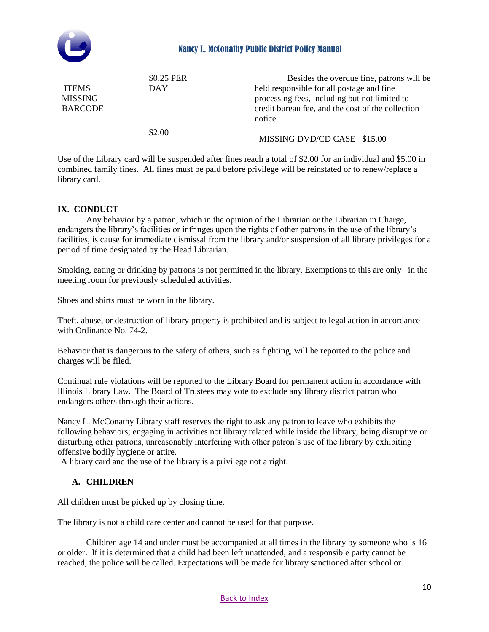

# Nancy L. McConathy Public District Policy Manual

|                                  | \$0.25 PER | Besides the overdue fine, patrons will be                                                                     |  |
|----------------------------------|------------|---------------------------------------------------------------------------------------------------------------|--|
| <b>ITEMS</b>                     | DAY        | held responsible for all postage and fine                                                                     |  |
| <b>MISSING</b><br><b>BARCODE</b> |            | processing fees, including but not limited to<br>credit bureau fee, and the cost of the collection<br>notice. |  |
|                                  | \$2.00     | MISSING DVD/CD CASE \$15.00                                                                                   |  |

Use of the Library card will be suspended after fines reach a total of \$2.00 for an individual and \$5.00 in combined family fines. All fines must be paid before privilege will be reinstated or to renew/replace a library card.

#### <span id="page-9-1"></span>**IX. CONDUCT**

Any behavior by a patron, which in the opinion of the Librarian or the Librarian in Charge, endangers the library's facilities or infringes upon the rights of other patrons in the use of the library's facilities, is cause for immediate dismissal from the library and/or suspension of all library privileges for a period of time designated by the Head Librarian.

Smoking, eating or drinking by patrons is not permitted in the library. Exemptions to this are only in the meeting room for previously scheduled activities.

Shoes and shirts must be worn in the library.

Theft, abuse, or destruction of library property is prohibited and is subject to legal action in accordance with Ordinance No. 74-2.

Behavior that is dangerous to the safety of others, such as fighting, will be reported to the police and charges will be filed.

Continual rule violations will be reported to the Library Board for permanent action in accordance with Illinois Library Law. The Board of Trustees may vote to exclude any library district patron who endangers others through their actions.

Nancy L. McConathy Library staff reserves the right to ask any patron to leave who exhibits the following behaviors; engaging in activities not library related while inside the library, being disruptive or disturbing other patrons, unreasonably interfering with other patron's use of the library by exhibiting offensive bodily hygiene or attire.

A library card and the use of the library is a privilege not a right.

#### <span id="page-9-0"></span>**A. CHILDREN**

All children must be picked up by closing time.

The library is not a child care center and cannot be used for that purpose.

Children age 14 and under must be accompanied at all times in the library by someone who is 16 or older. If it is determined that a child had been left unattended, and a responsible party cannot be reached, the police will be called. Expectations will be made for library sanctioned after school or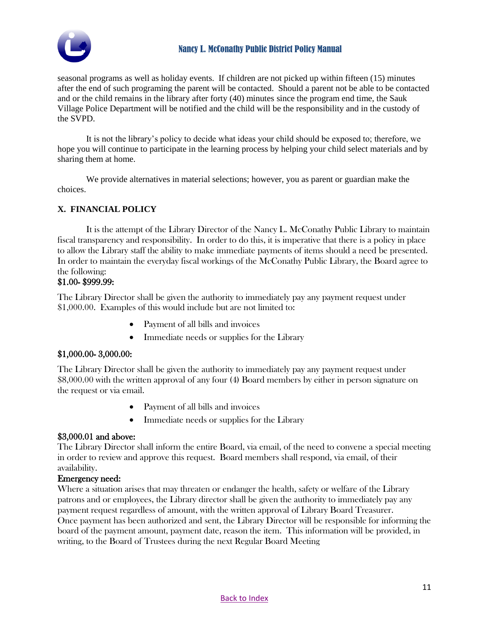

# Nancy L. McConathy Public District Policy Manual

seasonal programs as well as holiday events. If children are not picked up within fifteen (15) minutes after the end of such programing the parent will be contacted. Should a parent not be able to be contacted and or the child remains in the library after forty (40) minutes since the program end time, the Sauk Village Police Department will be notified and the child will be the responsibility and in the custody of the SVPD.

It is not the library's policy to decide what ideas your child should be exposed to; therefore, we hope you will continue to participate in the learning process by helping your child select materials and by sharing them at home.

We provide alternatives in material selections; however, you as parent or guardian make the choices.

## <span id="page-10-0"></span>**X. FINANCIAL POLICY**

It is the attempt of the Library Director of the Nancy L. McConathy Public Library to maintain fiscal transparency and responsibility. In order to do this, it is imperative that there is a policy in place to allow the Library staff the ability to make immediate payments of items should a need be presented. In order to maintain the everyday fiscal workings of the McConathy Public Library, the Board agree to the following:

## \$1.00- \$999.99:

The Library Director shall be given the authority to immediately pay any payment request under \$1,000.00. Examples of this would include but are not limited to:

- Payment of all bills and invoices
- Immediate needs or supplies for the Library

## \$1,000.00- 3,000.00:

The Library Director shall be given the authority to immediately pay any payment request under \$8,000.00 with the written approval of any four (4) Board members by either in person signature on the request or via email.

- Payment of all bills and invoices
- Immediate needs or supplies for the Library

## \$3,000.01 and above:

The Library Director shall inform the entire Board, via email, of the need to convene a special meeting in order to review and approve this request. Board members shall respond, via email, of their availability.

## Emergency need:

Where a situation arises that may threaten or endanger the health, safety or welfare of the Library patrons and or employees, the Library director shall be given the authority to immediately pay any payment request regardless of amount, with the written approval of Library Board Treasurer. Once payment has been authorized and sent, the Library Director will be responsible for informing the board of the payment amount, payment date, reason the item. This information will be provided, in writing, to the Board of Trustees during the next Regular Board Meeting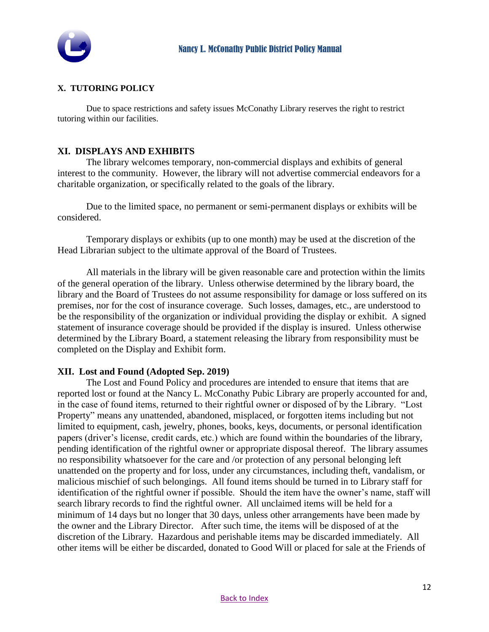

# <span id="page-11-2"></span>**X. TUTORING POLICY**

Due to space restrictions and safety issues McConathy Library reserves the right to restrict tutoring within our facilities.

# <span id="page-11-0"></span>**XI. DISPLAYS AND EXHIBITS**

The library welcomes temporary, non-commercial displays and exhibits of general interest to the community. However, the library will not advertise commercial endeavors for a charitable organization, or specifically related to the goals of the library.

Due to the limited space, no permanent or semi-permanent displays or exhibits will be considered.

Temporary displays or exhibits (up to one month) may be used at the discretion of the Head Librarian subject to the ultimate approval of the Board of Trustees.

All materials in the library will be given reasonable care and protection within the limits of the general operation of the library. Unless otherwise determined by the library board, the library and the Board of Trustees do not assume responsibility for damage or loss suffered on its premises, nor for the cost of insurance coverage. Such losses, damages, etc., are understood to be the responsibility of the organization or individual providing the display or exhibit. A signed statement of insurance coverage should be provided if the display is insured. Unless otherwise determined by the Library Board, a statement releasing the library from responsibility must be completed on the Display and Exhibit form.

## <span id="page-11-1"></span>**XII. Lost and Found (Adopted Sep. 2019)**

The Lost and Found Policy and procedures are intended to ensure that items that are reported lost or found at the Nancy L. McConathy Pubic Library are properly accounted for and, in the case of found items, returned to their rightful owner or disposed of by the Library. "Lost Property" means any unattended, abandoned, misplaced, or forgotten items including but not limited to equipment, cash, jewelry, phones, books, keys, documents, or personal identification papers (driver's license, credit cards, etc.) which are found within the boundaries of the library, pending identification of the rightful owner or appropriate disposal thereof. The library assumes no responsibility whatsoever for the care and /or protection of any personal belonging left unattended on the property and for loss, under any circumstances, including theft, vandalism, or malicious mischief of such belongings. All found items should be turned in to Library staff for identification of the rightful owner if possible. Should the item have the owner's name, staff will search library records to find the rightful owner. All unclaimed items will be held for a minimum of 14 days but no longer that 30 days, unless other arrangements have been made by the owner and the Library Director. After such time, the items will be disposed of at the discretion of the Library. Hazardous and perishable items may be discarded immediately. All other items will be either be discarded, donated to Good Will or placed for sale at the Friends of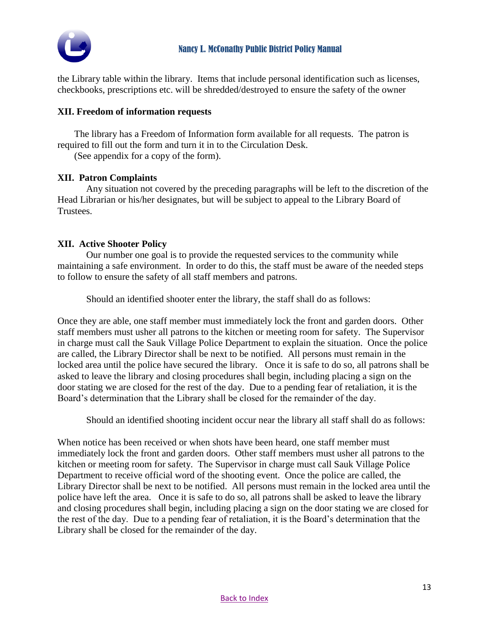

the Library table within the library. Items that include personal identification such as licenses, checkbooks, prescriptions etc. will be shredded/destroyed to ensure the safety of the owner

# <span id="page-12-1"></span>**XII. Freedom of information requests**

The library has a Freedom of Information form available for all requests. The patron is required to fill out the form and turn it in to the Circulation Desk.

(See appendix for a copy of the form).

# <span id="page-12-2"></span>**XII. Patron Complaints**

Any situation not covered by the preceding paragraphs will be left to the discretion of the Head Librarian or his/her designates, but will be subject to appeal to the Library Board of Trustees.

# <span id="page-12-0"></span>**XII. Active Shooter Policy**

Our number one goal is to provide the requested services to the community while maintaining a safe environment. In order to do this, the staff must be aware of the needed steps to follow to ensure the safety of all staff members and patrons.

Should an identified shooter enter the library, the staff shall do as follows:

Once they are able, one staff member must immediately lock the front and garden doors. Other staff members must usher all patrons to the kitchen or meeting room for safety. The Supervisor in charge must call the Sauk Village Police Department to explain the situation. Once the police are called, the Library Director shall be next to be notified. All persons must remain in the locked area until the police have secured the library. Once it is safe to do so, all patrons shall be asked to leave the library and closing procedures shall begin, including placing a sign on the door stating we are closed for the rest of the day. Due to a pending fear of retaliation, it is the Board's determination that the Library shall be closed for the remainder of the day.

Should an identified shooting incident occur near the library all staff shall do as follows:

When notice has been received or when shots have been heard, one staff member must immediately lock the front and garden doors. Other staff members must usher all patrons to the kitchen or meeting room for safety. The Supervisor in charge must call Sauk Village Police Department to receive official word of the shooting event. Once the police are called, the Library Director shall be next to be notified. All persons must remain in the locked area until the police have left the area. Once it is safe to do so, all patrons shall be asked to leave the library and closing procedures shall begin, including placing a sign on the door stating we are closed for the rest of the day. Due to a pending fear of retaliation, it is the Board's determination that the Library shall be closed for the remainder of the day.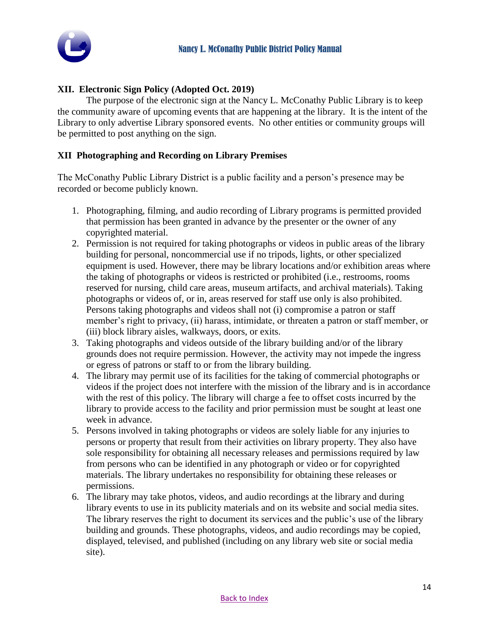

# <span id="page-13-0"></span>**XII. Electronic Sign Policy (Adopted Oct. 2019)**

The purpose of the electronic sign at the Nancy L. McConathy Public Library is to keep the community aware of upcoming events that are happening at the library. It is the intent of the Library to only advertise Library sponsored events. No other entities or community groups will be permitted to post anything on the sign.

## <span id="page-13-1"></span>**XII Photographing and Recording on Library Premises**

The McConathy Public Library District is a public facility and a person's presence may be recorded or become publicly known.

- 1. Photographing, filming, and audio recording of Library programs is permitted provided that permission has been granted in advance by the presenter or the owner of any copyrighted material.
- 2. Permission is not required for taking photographs or videos in public areas of the library building for personal, noncommercial use if no tripods, lights, or other specialized equipment is used. However, there may be library locations and/or exhibition areas where the taking of photographs or videos is restricted or prohibited (i.e., restrooms, rooms reserved for nursing, child care areas, museum artifacts, and archival materials). Taking photographs or videos of, or in, areas reserved for staff use only is also prohibited. Persons taking photographs and videos shall not (i) compromise a patron or staff member's right to privacy, (ii) harass, intimidate, or threaten a patron or staff member, or (iii) block library aisles, walkways, doors, or exits.
- 3. Taking photographs and videos outside of the library building and/or of the library grounds does not require permission. However, the activity may not impede the ingress or egress of patrons or staff to or from the library building.
- 4. The library may permit use of its facilities for the taking of commercial photographs or videos if the project does not interfere with the mission of the library and is in accordance with the rest of this policy. The library will charge a fee to offset costs incurred by the library to provide access to the facility and prior permission must be sought at least one week in advance.
- 5. Persons involved in taking photographs or videos are solely liable for any injuries to persons or property that result from their activities on library property. They also have sole responsibility for obtaining all necessary releases and permissions required by law from persons who can be identified in any photograph or video or for copyrighted materials. The library undertakes no responsibility for obtaining these releases or permissions.
- 6. The library may take photos, videos, and audio recordings at the library and during library events to use in its publicity materials and on its website and social media sites. The library reserves the right to document its services and the public's use of the library building and grounds. These photographs, videos, and audio recordings may be copied, displayed, televised, and published (including on any library web site or social media site).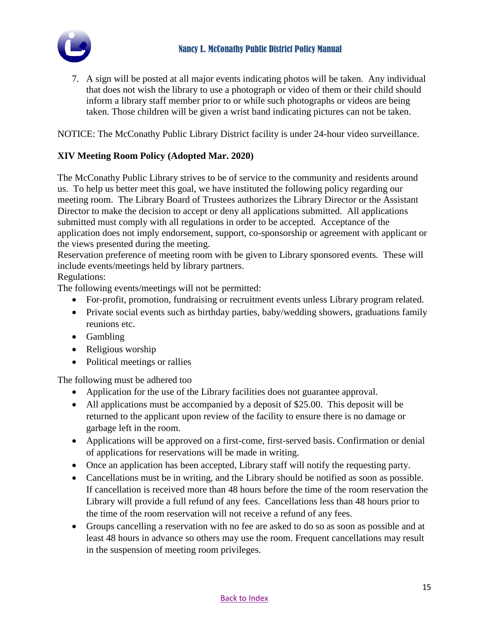

7. A sign will be posted at all major events indicating photos will be taken. Any individual that does not wish the library to use a photograph or video of them or their child should inform a library staff member prior to or while such photographs or videos are being taken. Those children will be given a wrist band indicating pictures can not be taken.

NOTICE: The McConathy Public Library District facility is under 24-hour video surveillance.

# <span id="page-14-0"></span>**XIV Meeting Room Policy (Adopted Mar. 2020)**

The McConathy Public Library strives to be of service to the community and residents around us. To help us better meet this goal, we have instituted the following policy regarding our meeting room. The Library Board of Trustees authorizes the Library Director or the Assistant Director to make the decision to accept or deny all applications submitted. All applications submitted must comply with all regulations in order to be accepted. Acceptance of the application does not imply endorsement, support, co-sponsorship or agreement with applicant or the views presented during the meeting.

Reservation preference of meeting room with be given to Library sponsored events. These will include events/meetings held by library partners.

Regulations:

The following events/meetings will not be permitted:

- For-profit, promotion, fundraising or recruitment events unless Library program related.
- Private social events such as birthday parties, baby/wedding showers, graduations family reunions etc.
- Gambling
- Religious worship
- Political meetings or rallies

The following must be adhered too

- Application for the use of the Library facilities does not guarantee approval.
- All applications must be accompanied by a deposit of \$25.00. This deposit will be returned to the applicant upon review of the facility to ensure there is no damage or garbage left in the room.
- Applications will be approved on a first-come, first-served basis. Confirmation or denial of applications for reservations will be made in writing.
- Once an application has been accepted, Library staff will notify the requesting party.
- Cancellations must be in writing, and the Library should be notified as soon as possible. If cancellation is received more than 48 hours before the time of the room reservation the Library will provide a full refund of any fees. Cancellations less than 48 hours prior to the time of the room reservation will not receive a refund of any fees.
- Groups cancelling a reservation with no fee are asked to do so as soon as possible and at least 48 hours in advance so others may use the room. Frequent cancellations may result in the suspension of meeting room privileges.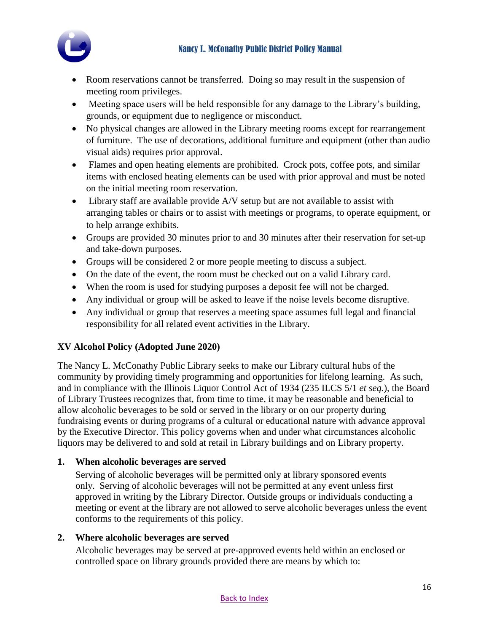

- Room reservations cannot be transferred. Doing so may result in the suspension of meeting room privileges.
- Meeting space users will be held responsible for any damage to the Library's building, grounds, or equipment due to negligence or misconduct.
- No physical changes are allowed in the Library meeting rooms except for rearrangement of furniture. The use of decorations, additional furniture and equipment (other than audio visual aids) requires prior approval.
- Flames and open heating elements are prohibited. Crock pots, coffee pots, and similar items with enclosed heating elements can be used with prior approval and must be noted on the initial meeting room reservation.
- Library staff are available provide A/V setup but are not available to assist with arranging tables or chairs or to assist with meetings or programs, to operate equipment, or to help arrange exhibits.
- Groups are provided 30 minutes prior to and 30 minutes after their reservation for set-up and take-down purposes.
- Groups will be considered 2 or more people meeting to discuss a subject.
- On the date of the event, the room must be checked out on a valid Library card.
- When the room is used for studying purposes a deposit fee will not be charged.
- Any individual or group will be asked to leave if the noise levels become disruptive.
- Any individual or group that reserves a meeting space assumes full legal and financial responsibility for all related event activities in the Library.

# <span id="page-15-0"></span>**XV Alcohol Policy (Adopted June 2020)**

The Nancy L. McConathy Public Library seeks to make our Library cultural hubs of the community by providing timely programming and opportunities for lifelong learning. As such, and in compliance with the Illinois Liquor Control Act of 1934 (235 ILCS 5/1 *et seq.*), the Board of Library Trustees recognizes that, from time to time, it may be reasonable and beneficial to allow alcoholic beverages to be sold or served in the library or on our property during fundraising events or during programs of a cultural or educational nature with advance approval by the Executive Director. This policy governs when and under what circumstances alcoholic liquors may be delivered to and sold at retail in Library buildings and on Library property.

# **1. When alcoholic beverages are served**

Serving of alcoholic beverages will be permitted only at library sponsored events only. Serving of alcoholic beverages will not be permitted at any event unless first approved in writing by the Library Director. Outside groups or individuals conducting a meeting or event at the library are not allowed to serve alcoholic beverages unless the event conforms to the requirements of this policy.

# **2. Where alcoholic beverages are served**

Alcoholic beverages may be served at pre-approved events held within an enclosed or controlled space on library grounds provided there are means by which to: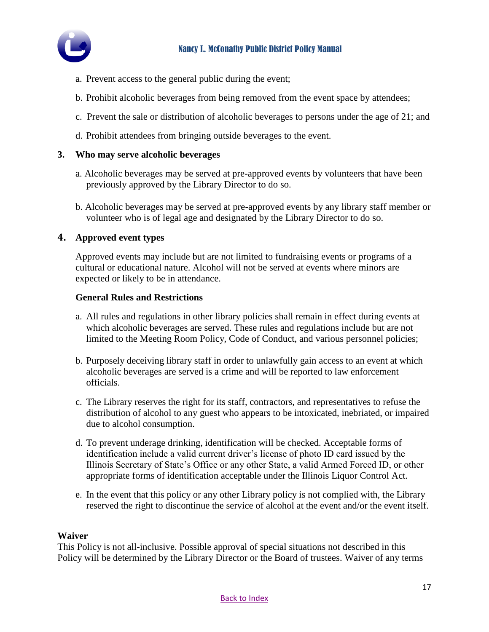

- a. Prevent access to the general public during the event;
- b. Prohibit alcoholic beverages from being removed from the event space by attendees;
- c. Prevent the sale or distribution of alcoholic beverages to persons under the age of 21; and
- d. Prohibit attendees from bringing outside beverages to the event.

## **3. Who may serve alcoholic beverages**

- a. Alcoholic beverages may be served at pre-approved events by volunteers that have been previously approved by the Library Director to do so.
- b. Alcoholic beverages may be served at pre-approved events by any library staff member or volunteer who is of legal age and designated by the Library Director to do so.

## **4. Approved event types**

Approved events may include but are not limited to fundraising events or programs of a cultural or educational nature. Alcohol will not be served at events where minors are expected or likely to be in attendance.

#### **General Rules and Restrictions**

- a. All rules and regulations in other library policies shall remain in effect during events at which alcoholic beverages are served. These rules and regulations include but are not limited to the Meeting Room Policy, Code of Conduct, and various personnel policies;
- b. Purposely deceiving library staff in order to unlawfully gain access to an event at which alcoholic beverages are served is a crime and will be reported to law enforcement officials.
- c. The Library reserves the right for its staff, contractors, and representatives to refuse the distribution of alcohol to any guest who appears to be intoxicated, inebriated, or impaired due to alcohol consumption.
- d. To prevent underage drinking, identification will be checked. Acceptable forms of identification include a valid current driver's license of photo ID card issued by the Illinois Secretary of State's Office or any other State, a valid Armed Forced ID, or other appropriate forms of identification acceptable under the Illinois Liquor Control Act.
- e. In the event that this policy or any other Library policy is not complied with, the Library reserved the right to discontinue the service of alcohol at the event and/or the event itself.

## **Waiver**

This Policy is not all-inclusive. Possible approval of special situations not described in this Policy will be determined by the Library Director or the Board of trustees. Waiver of any terms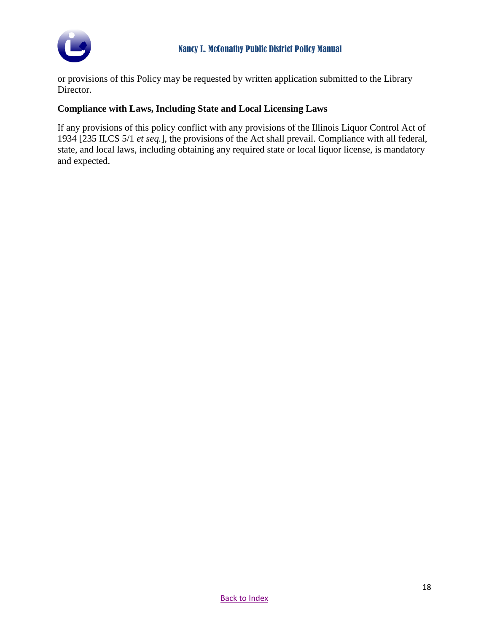

or provisions of this Policy may be requested by written application submitted to the Library Director.

# **Compliance with Laws, Including State and Local Licensing Laws**

If any provisions of this policy conflict with any provisions of the Illinois Liquor Control Act of 1934 [235 ILCS 5/1 *et seq.*], the provisions of the Act shall prevail. Compliance with all federal, state, and local laws, including obtaining any required state or local liquor license, is mandatory and expected.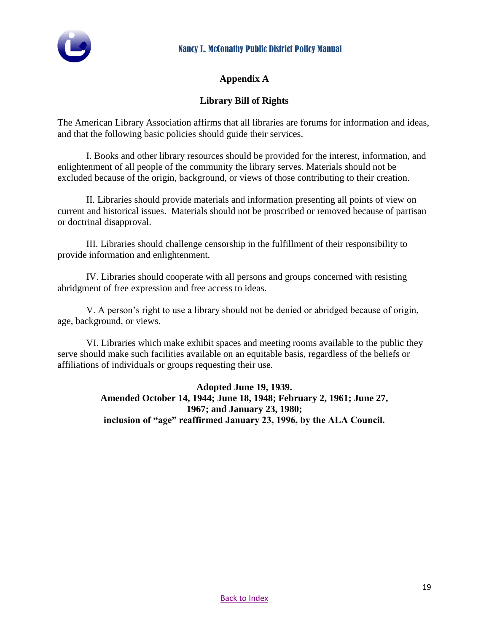

# **Appendix A**

# **Library Bill of Rights**

<span id="page-18-0"></span>The American Library Association affirms that all libraries are forums for information and ideas, and that the following basic policies should guide their services.

I. Books and other library resources should be provided for the interest, information, and enlightenment of all people of the community the library serves. Materials should not be excluded because of the origin, background, or views of those contributing to their creation.

II. Libraries should provide materials and information presenting all points of view on current and historical issues. Materials should not be proscribed or removed because of partisan or doctrinal disapproval.

III. Libraries should challenge censorship in the fulfillment of their responsibility to provide information and enlightenment.

IV. Libraries should cooperate with all persons and groups concerned with resisting abridgment of free expression and free access to ideas.

V. A person's right to use a library should not be denied or abridged because of origin, age, background, or views.

VI. Libraries which make exhibit spaces and meeting rooms available to the public they serve should make such facilities available on an equitable basis, regardless of the beliefs or affiliations of individuals or groups requesting their use.

> **Adopted June 19, 1939. Amended October 14, 1944; June 18, 1948; February 2, 1961; June 27, 1967; and January 23, 1980; inclusion of "age" reaffirmed January 23, 1996, by the ALA Council.**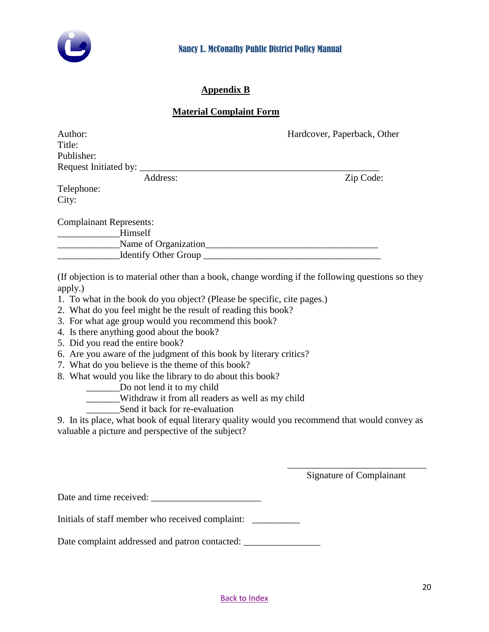

# **Appendix B**

# **Material Complaint Form**

<span id="page-19-0"></span>

| Author:                        | Hardcover, Paperback, Other |
|--------------------------------|-----------------------------|
| Title:                         |                             |
| Publisher:                     |                             |
| Request Initiated by: _____    |                             |
| Address:                       | Zip Code:                   |
| Telephone:                     |                             |
| City:                          |                             |
| <b>Complainant Represents:</b> |                             |
| Himself                        |                             |
| Name of Organization           |                             |
| Identify Other Group           |                             |
|                                |                             |

(If objection is to material other than a book, change wording if the following questions so they apply.)

- 1. To what in the book do you object? (Please be specific, cite pages.)
- 2. What do you feel might be the result of reading this book?
- 3. For what age group would you recommend this book?
- 4. Is there anything good about the book?
- 5. Did you read the entire book?
- 6. Are you aware of the judgment of this book by literary critics?
- 7. What do you believe is the theme of this book?
- 8. What would you like the library to do about this book?
	- \_\_\_\_\_\_\_Do not lend it to my child
	- \_\_\_\_\_\_\_Withdraw it from all readers as well as my child
	- Send it back for re-evaluation

9. In its place, what book of equal literary quality would you recommend that would convey as valuable a picture and perspective of the subject?

> \_\_\_\_\_\_\_\_\_\_\_\_\_\_\_\_\_\_\_\_\_\_\_\_\_\_\_\_\_ Signature of Complainant

Date and time received:

Initials of staff member who received complaint: \_\_\_\_\_\_\_\_\_\_\_

Date complaint addressed and patron contacted: \_\_\_\_\_\_\_\_\_\_\_\_\_\_\_\_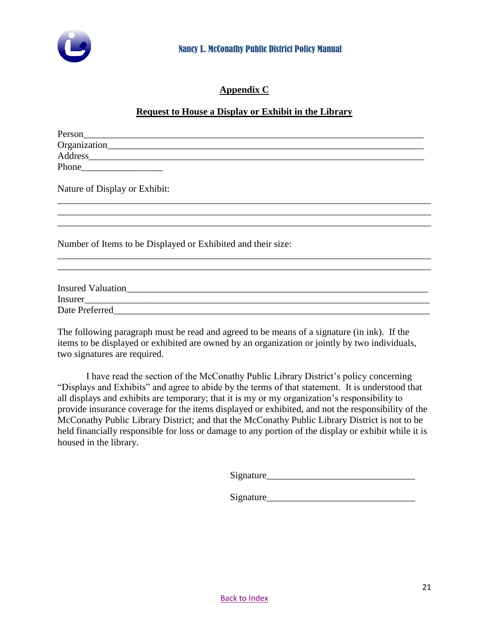

# **Appendix C**

## **Request to House a Display or Exhibit in the Library**

<span id="page-20-0"></span>

| Address and the contract of the contract of the contract of the contract of the contract of the contract of the contract of the contract of the contract of the contract of the contract of the contract of the contract of th |
|--------------------------------------------------------------------------------------------------------------------------------------------------------------------------------------------------------------------------------|
|                                                                                                                                                                                                                                |
| Nature of Display or Exhibit:                                                                                                                                                                                                  |
|                                                                                                                                                                                                                                |
|                                                                                                                                                                                                                                |
| Number of Items to be Displayed or Exhibited and their size:                                                                                                                                                                   |
|                                                                                                                                                                                                                                |
|                                                                                                                                                                                                                                |
|                                                                                                                                                                                                                                |
|                                                                                                                                                                                                                                |
|                                                                                                                                                                                                                                |

The following paragraph must be read and agreed to be means of a signature (in ink). If the items to be displayed or exhibited are owned by an organization or jointly by two individuals, two signatures are required.

I have read the section of the McConathy Public Library District's policy concerning "Displays and Exhibits" and agree to abide by the terms of that statement. It is understood that all displays and exhibits are temporary; that it is my or my organization's responsibility to provide insurance coverage for the items displayed or exhibited, and not the responsibility of the McConathy Public Library District; and that the McConathy Public Library District is not to be held financially responsible for loss or damage to any portion of the display or exhibit while it is housed in the library.

Signature\_\_\_\_\_\_\_\_\_\_\_\_\_\_\_\_\_\_\_\_\_\_\_\_\_\_\_\_\_\_\_

Signature\_\_\_\_\_\_\_\_\_\_\_\_\_\_\_\_\_\_\_\_\_\_\_\_\_\_\_\_\_\_\_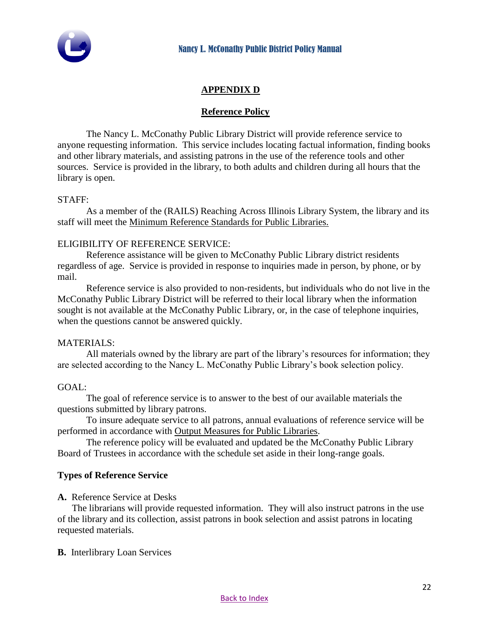

# **APPENDIX D**

# **Reference Policy**

<span id="page-21-0"></span>The Nancy L. McConathy Public Library District will provide reference service to anyone requesting information. This service includes locating factual information, finding books and other library materials, and assisting patrons in the use of the reference tools and other sources. Service is provided in the library, to both adults and children during all hours that the library is open.

## STAFF:

As a member of the (RAILS) Reaching Across Illinois Library System, the library and its staff will meet the Minimum Reference Standards for Public Libraries.

# ELIGIBILITY OF REFERENCE SERVICE:

Reference assistance will be given to McConathy Public Library district residents regardless of age. Service is provided in response to inquiries made in person, by phone, or by mail.

Reference service is also provided to non-residents, but individuals who do not live in the McConathy Public Library District will be referred to their local library when the information sought is not available at the McConathy Public Library, or, in the case of telephone inquiries, when the questions cannot be answered quickly.

## MATERIALS:

All materials owned by the library are part of the library's resources for information; they are selected according to the Nancy L. McConathy Public Library's book selection policy.

## GOAL:

The goal of reference service is to answer to the best of our available materials the questions submitted by library patrons.

To insure adequate service to all patrons, annual evaluations of reference service will be performed in accordance with Output Measures for Public Libraries.

The reference policy will be evaluated and updated be the McConathy Public Library Board of Trustees in accordance with the schedule set aside in their long-range goals.

# **Types of Reference Service**

**A.** Reference Service at Desks

 The librarians will provide requested information. They will also instruct patrons in the use of the library and its collection, assist patrons in book selection and assist patrons in locating requested materials.

# **B.** Interlibrary Loan Services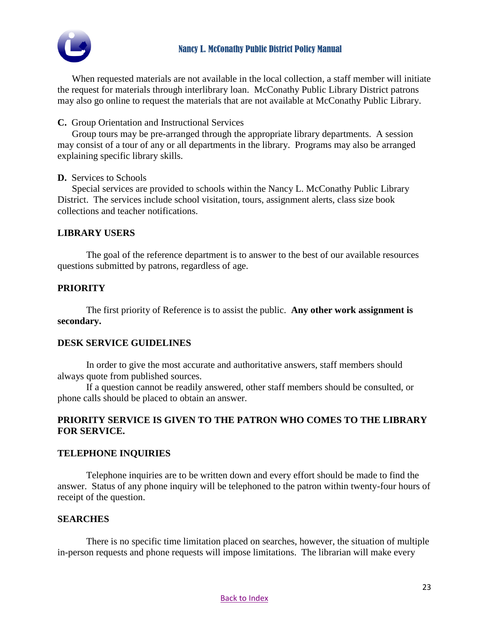

 When requested materials are not available in the local collection, a staff member will initiate the request for materials through interlibrary loan. McConathy Public Library District patrons may also go online to request the materials that are not available at McConathy Public Library.

**C.** Group Orientation and Instructional Services

 Group tours may be pre-arranged through the appropriate library departments. A session may consist of a tour of any or all departments in the library. Programs may also be arranged explaining specific library skills.

# **D.** Services to Schools

 Special services are provided to schools within the Nancy L. McConathy Public Library District. The services include school visitation, tours, assignment alerts, class size book collections and teacher notifications.

# **LIBRARY USERS**

The goal of the reference department is to answer to the best of our available resources questions submitted by patrons, regardless of age.

# **PRIORITY**

The first priority of Reference is to assist the public. **Any other work assignment is secondary.**

# **DESK SERVICE GUIDELINES**

In order to give the most accurate and authoritative answers, staff members should always quote from published sources.

If a question cannot be readily answered, other staff members should be consulted, or phone calls should be placed to obtain an answer.

# **PRIORITY SERVICE IS GIVEN TO THE PATRON WHO COMES TO THE LIBRARY FOR SERVICE.**

## **TELEPHONE INQUIRIES**

Telephone inquiries are to be written down and every effort should be made to find the answer. Status of any phone inquiry will be telephoned to the patron within twenty-four hours of receipt of the question.

# **SEARCHES**

There is no specific time limitation placed on searches, however, the situation of multiple in-person requests and phone requests will impose limitations. The librarian will make every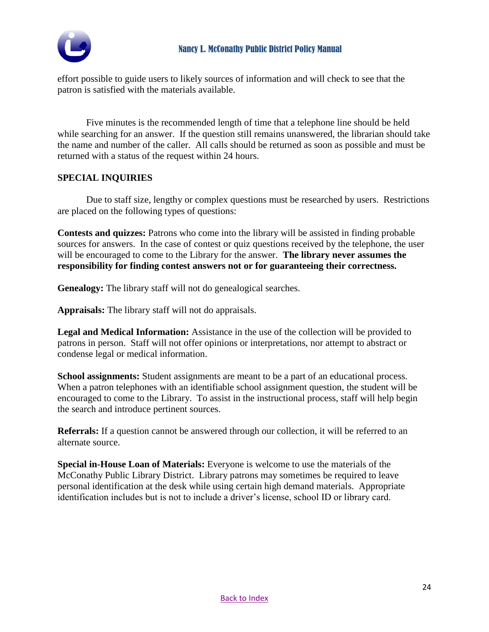

effort possible to guide users to likely sources of information and will check to see that the patron is satisfied with the materials available.

Five minutes is the recommended length of time that a telephone line should be held while searching for an answer. If the question still remains unanswered, the librarian should take the name and number of the caller. All calls should be returned as soon as possible and must be returned with a status of the request within 24 hours.

# **SPECIAL INQUIRIES**

Due to staff size, lengthy or complex questions must be researched by users. Restrictions are placed on the following types of questions:

**Contests and quizzes:** Patrons who come into the library will be assisted in finding probable sources for answers. In the case of contest or quiz questions received by the telephone, the user will be encouraged to come to the Library for the answer. **The library never assumes the responsibility for finding contest answers not or for guaranteeing their correctness.**

**Genealogy:** The library staff will not do genealogical searches.

**Appraisals:** The library staff will not do appraisals.

**Legal and Medical Information:** Assistance in the use of the collection will be provided to patrons in person. Staff will not offer opinions or interpretations, nor attempt to abstract or condense legal or medical information.

**School assignments:** Student assignments are meant to be a part of an educational process. When a patron telephones with an identifiable school assignment question, the student will be encouraged to come to the Library. To assist in the instructional process, staff will help begin the search and introduce pertinent sources.

**Referrals:** If a question cannot be answered through our collection, it will be referred to an alternate source.

**Special in-House Loan of Materials:** Everyone is welcome to use the materials of the McConathy Public Library District. Library patrons may sometimes be required to leave personal identification at the desk while using certain high demand materials. Appropriate identification includes but is not to include a driver's license, school ID or library card.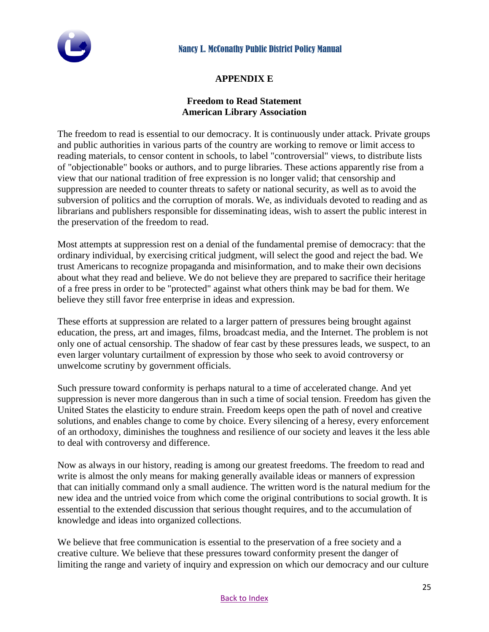

# **APPENDIX E**

# **Freedom to Read Statement American Library Association**

<span id="page-24-0"></span>The freedom to read is essential to our democracy. It is continuously under attack. Private groups and public authorities in various parts of the country are working to remove or limit access to reading materials, to censor content in schools, to label "controversial" views, to distribute lists of "objectionable" books or authors, and to purge libraries. These actions apparently rise from a view that our national tradition of free expression is no longer valid; that censorship and suppression are needed to counter threats to safety or national security, as well as to avoid the subversion of politics and the corruption of morals. We, as individuals devoted to reading and as librarians and publishers responsible for disseminating ideas, wish to assert the public interest in the preservation of the freedom to read.

Most attempts at suppression rest on a denial of the fundamental premise of democracy: that the ordinary individual, by exercising critical judgment, will select the good and reject the bad. We trust Americans to recognize propaganda and misinformation, and to make their own decisions about what they read and believe. We do not believe they are prepared to sacrifice their heritage of a free press in order to be "protected" against what others think may be bad for them. We believe they still favor free enterprise in ideas and expression.

These efforts at suppression are related to a larger pattern of pressures being brought against education, the press, art and images, films, broadcast media, and the Internet. The problem is not only one of actual censorship. The shadow of fear cast by these pressures leads, we suspect, to an even larger voluntary curtailment of expression by those who seek to avoid controversy or unwelcome scrutiny by government officials.

Such pressure toward conformity is perhaps natural to a time of accelerated change. And yet suppression is never more dangerous than in such a time of social tension. Freedom has given the United States the elasticity to endure strain. Freedom keeps open the path of novel and creative solutions, and enables change to come by choice. Every silencing of a heresy, every enforcement of an orthodoxy, diminishes the toughness and resilience of our society and leaves it the less able to deal with controversy and difference.

Now as always in our history, reading is among our greatest freedoms. The freedom to read and write is almost the only means for making generally available ideas or manners of expression that can initially command only a small audience. The written word is the natural medium for the new idea and the untried voice from which come the original contributions to social growth. It is essential to the extended discussion that serious thought requires, and to the accumulation of knowledge and ideas into organized collections.

We believe that free communication is essential to the preservation of a free society and a creative culture. We believe that these pressures toward conformity present the danger of limiting the range and variety of inquiry and expression on which our democracy and our culture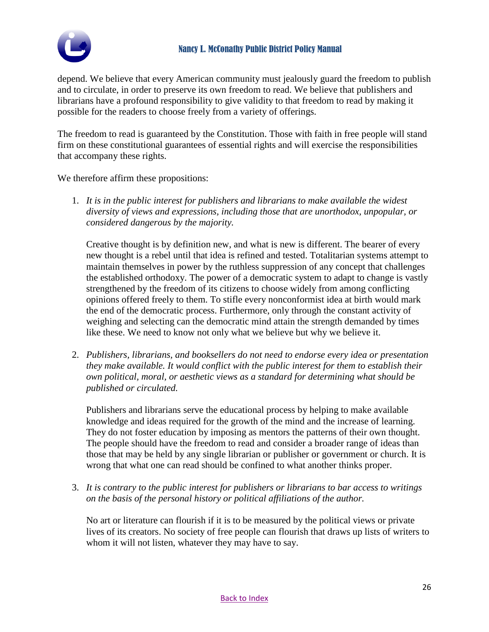

depend. We believe that every American community must jealously guard the freedom to publish and to circulate, in order to preserve its own freedom to read. We believe that publishers and librarians have a profound responsibility to give validity to that freedom to read by making it possible for the readers to choose freely from a variety of offerings.

The freedom to read is guaranteed by the Constitution. Those with faith in free people will stand firm on these constitutional guarantees of essential rights and will exercise the responsibilities that accompany these rights.

We therefore affirm these propositions:

1. *It is in the public interest for publishers and librarians to make available the widest diversity of views and expressions, including those that are unorthodox, unpopular, or considered dangerous by the majority.*

Creative thought is by definition new, and what is new is different. The bearer of every new thought is a rebel until that idea is refined and tested. Totalitarian systems attempt to maintain themselves in power by the ruthless suppression of any concept that challenges the established orthodoxy. The power of a democratic system to adapt to change is vastly strengthened by the freedom of its citizens to choose widely from among conflicting opinions offered freely to them. To stifle every nonconformist idea at birth would mark the end of the democratic process. Furthermore, only through the constant activity of weighing and selecting can the democratic mind attain the strength demanded by times like these. We need to know not only what we believe but why we believe it.

2. *Publishers, librarians, and booksellers do not need to endorse every idea or presentation they make available. It would conflict with the public interest for them to establish their own political, moral, or aesthetic views as a standard for determining what should be published or circulated.*

Publishers and librarians serve the educational process by helping to make available knowledge and ideas required for the growth of the mind and the increase of learning. They do not foster education by imposing as mentors the patterns of their own thought. The people should have the freedom to read and consider a broader range of ideas than those that may be held by any single librarian or publisher or government or church. It is wrong that what one can read should be confined to what another thinks proper.

3. *It is contrary to the public interest for publishers or librarians to bar access to writings on the basis of the personal history or political affiliations of the author.*

No art or literature can flourish if it is to be measured by the political views or private lives of its creators. No society of free people can flourish that draws up lists of writers to whom it will not listen, whatever they may have to say.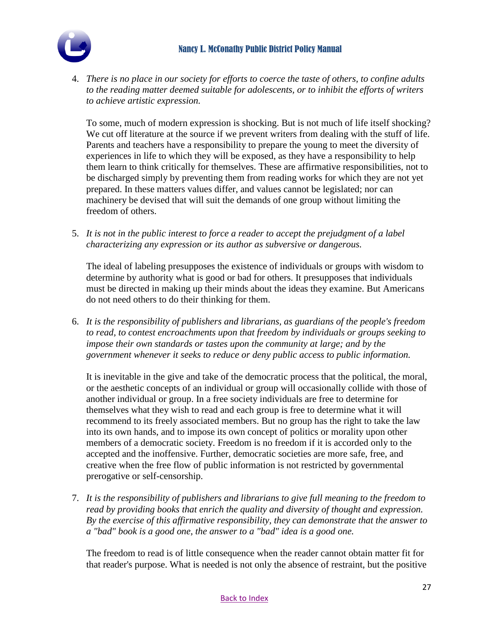

4. *There is no place in our society for efforts to coerce the taste of others, to confine adults to the reading matter deemed suitable for adolescents, or to inhibit the efforts of writers to achieve artistic expression.*

To some, much of modern expression is shocking. But is not much of life itself shocking? We cut off literature at the source if we prevent writers from dealing with the stuff of life. Parents and teachers have a responsibility to prepare the young to meet the diversity of experiences in life to which they will be exposed, as they have a responsibility to help them learn to think critically for themselves. These are affirmative responsibilities, not to be discharged simply by preventing them from reading works for which they are not yet prepared. In these matters values differ, and values cannot be legislated; nor can machinery be devised that will suit the demands of one group without limiting the freedom of others.

5. *It is not in the public interest to force a reader to accept the prejudgment of a label characterizing any expression or its author as subversive or dangerous.*

The ideal of labeling presupposes the existence of individuals or groups with wisdom to determine by authority what is good or bad for others. It presupposes that individuals must be directed in making up their minds about the ideas they examine. But Americans do not need others to do their thinking for them.

6. *It is the responsibility of publishers and librarians, as guardians of the people's freedom to read, to contest encroachments upon that freedom by individuals or groups seeking to impose their own standards or tastes upon the community at large; and by the government whenever it seeks to reduce or deny public access to public information.*

It is inevitable in the give and take of the democratic process that the political, the moral, or the aesthetic concepts of an individual or group will occasionally collide with those of another individual or group. In a free society individuals are free to determine for themselves what they wish to read and each group is free to determine what it will recommend to its freely associated members. But no group has the right to take the law into its own hands, and to impose its own concept of politics or morality upon other members of a democratic society. Freedom is no freedom if it is accorded only to the accepted and the inoffensive. Further, democratic societies are more safe, free, and creative when the free flow of public information is not restricted by governmental prerogative or self-censorship.

7. *It is the responsibility of publishers and librarians to give full meaning to the freedom to read by providing books that enrich the quality and diversity of thought and expression. By the exercise of this affirmative responsibility, they can demonstrate that the answer to a "bad" book is a good one, the answer to a "bad" idea is a good one.*

The freedom to read is of little consequence when the reader cannot obtain matter fit for that reader's purpose. What is needed is not only the absence of restraint, but the positive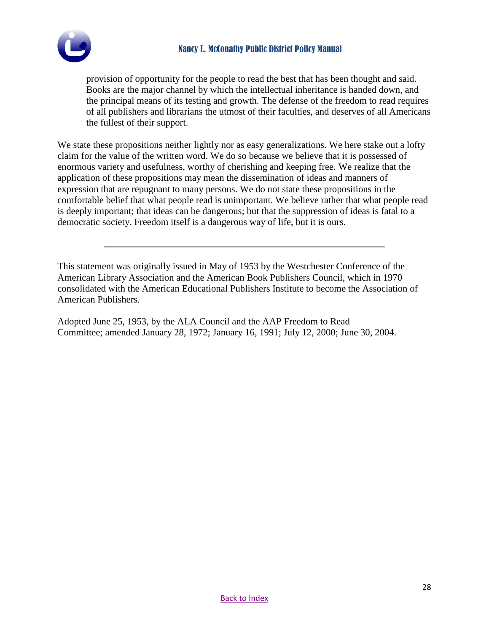

provision of opportunity for the people to read the best that has been thought and said. Books are the major channel by which the intellectual inheritance is handed down, and the principal means of its testing and growth. The defense of the freedom to read requires of all publishers and librarians the utmost of their faculties, and deserves of all Americans the fullest of their support.

We state these propositions neither lightly nor as easy generalizations. We here stake out a lofty claim for the value of the written word. We do so because we believe that it is possessed of enormous variety and usefulness, worthy of cherishing and keeping free. We realize that the application of these propositions may mean the dissemination of ideas and manners of expression that are repugnant to many persons. We do not state these propositions in the comfortable belief that what people read is unimportant. We believe rather that what people read is deeply important; that ideas can be dangerous; but that the suppression of ideas is fatal to a democratic society. Freedom itself is a dangerous way of life, but it is ours.

This statement was originally issued in May of 1953 by the Westchester Conference of the American Library Association and the American Book Publishers Council, which in 1970 consolidated with the American Educational Publishers Institute to become the Association of American Publishers.

Adopted June 25, 1953, by the ALA Council and the AAP Freedom to Read Committee; amended January 28, 1972; January 16, 1991; July 12, 2000; June 30, 2004.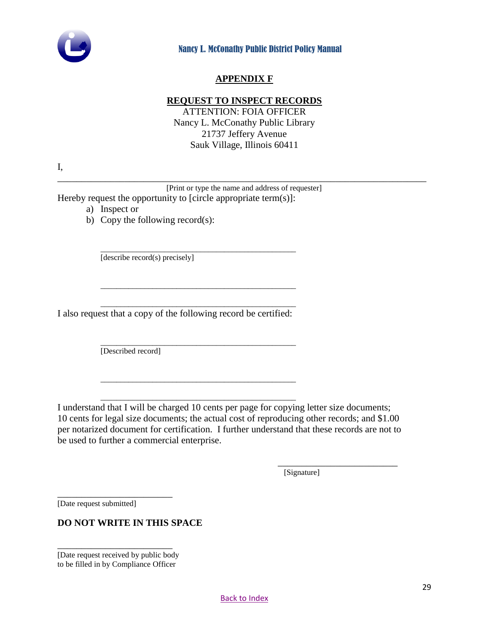

# Nancy L. McConathy Public District Policy Manual

# **APPENDIX F**

# **REQUEST TO INSPECT RECORDS**

ATTENTION: FOIA OFFICER Nancy L. McConathy Public Library 21737 Jeffery Avenue Sauk Village, Illinois 60411

<span id="page-28-0"></span>I,

\_\_\_\_\_\_\_\_\_\_\_\_\_\_\_\_\_\_\_\_\_\_\_\_\_\_\_\_\_\_\_\_\_\_\_\_\_\_\_\_\_\_\_\_\_\_\_\_\_\_\_\_\_\_\_\_\_\_\_\_\_\_\_\_\_\_\_\_\_\_\_\_\_\_\_\_\_ [Print or type the name and address of requester]

- Hereby request the opportunity to [circle appropriate term $(s)$ ]:
	- a) Inspect or
	- b) Copy the following record $(s)$ :

\_\_\_\_\_\_\_\_\_\_\_\_\_\_\_\_\_\_\_\_\_\_\_\_\_\_\_\_\_\_\_\_\_\_\_\_\_\_\_\_\_\_\_\_\_\_\_\_\_ [describe record(s) precisely]

I also request that a copy of the following record be certified:

\_\_\_\_\_\_\_\_\_\_\_\_\_\_\_\_\_\_\_\_\_\_\_\_\_\_\_\_\_\_\_\_\_\_\_\_\_\_\_\_\_\_\_\_\_\_\_\_\_

\_\_\_\_\_\_\_\_\_\_\_\_\_\_\_\_\_\_\_\_\_\_\_\_\_\_\_\_\_\_\_\_\_\_\_\_\_\_\_\_\_\_\_\_\_\_\_\_\_

\_\_\_\_\_\_\_\_\_\_\_\_\_\_\_\_\_\_\_\_\_\_\_\_\_\_\_\_\_\_\_\_\_\_\_\_\_\_\_\_\_\_\_\_\_\_\_\_\_

\_\_\_\_\_\_\_\_\_\_\_\_\_\_\_\_\_\_\_\_\_\_\_\_\_\_\_\_\_\_\_\_\_\_\_\_\_\_\_\_\_\_\_\_\_\_\_\_\_

\_\_\_\_\_\_\_\_\_\_\_\_\_\_\_\_\_\_\_\_\_\_\_\_\_\_\_\_\_\_\_\_\_\_\_\_\_\_\_\_\_\_\_\_\_\_\_\_\_ [Described record]

I understand that I will be charged 10 cents per page for copying letter size documents; 10 cents for legal size documents; the actual cost of reproducing other records; and \$1.00 per notarized document for certification. I further understand that these records are not to be used to further a commercial enterprise.

[Signature]

\_\_\_\_\_\_\_\_\_\_\_\_\_\_\_\_\_\_\_\_\_\_\_\_\_

\_\_\_\_\_\_\_\_\_\_\_\_\_\_\_\_\_\_\_\_\_\_\_\_ [Date request submitted]

# **DO NOT WRITE IN THIS SPACE**

\_\_\_\_\_\_\_\_\_\_\_\_\_\_\_\_\_\_\_\_\_\_\_\_

<sup>[</sup>Date request received by public body to be filled in by Compliance Officer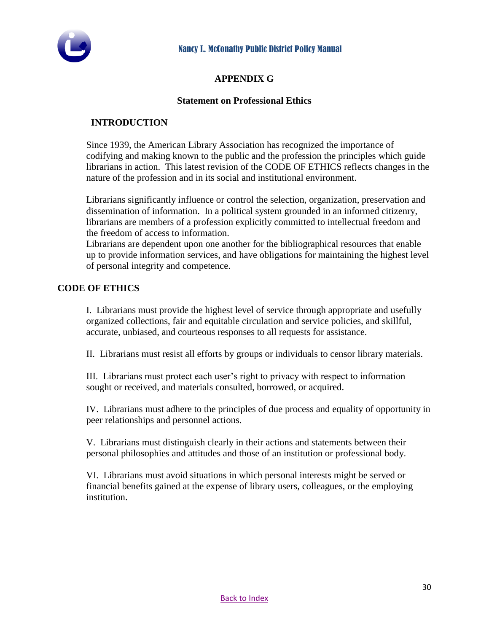

# **APPENDIX G**

# **Statement on Professional Ethics**

# <span id="page-29-0"></span> **INTRODUCTION**

Since 1939, the American Library Association has recognized the importance of codifying and making known to the public and the profession the principles which guide librarians in action. This latest revision of the CODE OF ETHICS reflects changes in the nature of the profession and in its social and institutional environment.

Librarians significantly influence or control the selection, organization, preservation and dissemination of information. In a political system grounded in an informed citizenry, librarians are members of a profession explicitly committed to intellectual freedom and the freedom of access to information.

Librarians are dependent upon one another for the bibliographical resources that enable up to provide information services, and have obligations for maintaining the highest level of personal integrity and competence.

# **CODE OF ETHICS**

I. Librarians must provide the highest level of service through appropriate and usefully organized collections, fair and equitable circulation and service policies, and skillful, accurate, unbiased, and courteous responses to all requests for assistance.

II. Librarians must resist all efforts by groups or individuals to censor library materials.

III. Librarians must protect each user's right to privacy with respect to information sought or received, and materials consulted, borrowed, or acquired.

IV. Librarians must adhere to the principles of due process and equality of opportunity in peer relationships and personnel actions.

V. Librarians must distinguish clearly in their actions and statements between their personal philosophies and attitudes and those of an institution or professional body.

VI. Librarians must avoid situations in which personal interests might be served or financial benefits gained at the expense of library users, colleagues, or the employing institution.

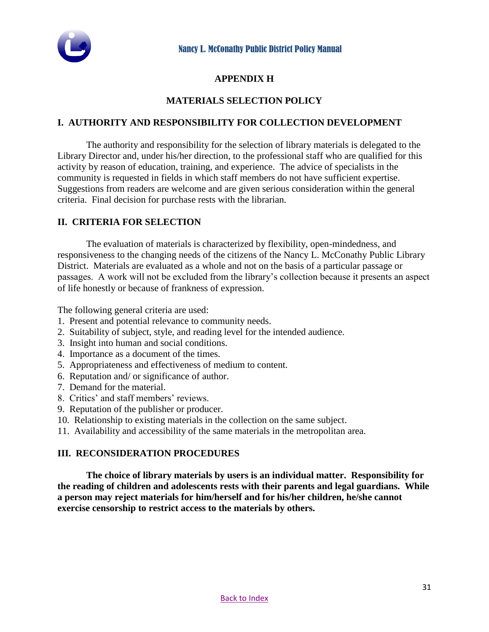

# **APPENDIX H**

# **MATERIALS SELECTION POLICY**

# <span id="page-30-0"></span>**I. AUTHORITY AND RESPONSIBILITY FOR COLLECTION DEVELOPMENT**

The authority and responsibility for the selection of library materials is delegated to the Library Director and, under his/her direction, to the professional staff who are qualified for this activity by reason of education, training, and experience. The advice of specialists in the community is requested in fields in which staff members do not have sufficient expertise. Suggestions from readers are welcome and are given serious consideration within the general criteria. Final decision for purchase rests with the librarian.

# **II. CRITERIA FOR SELECTION**

The evaluation of materials is characterized by flexibility, open-mindedness, and responsiveness to the changing needs of the citizens of the Nancy L. McConathy Public Library District. Materials are evaluated as a whole and not on the basis of a particular passage or passages. A work will not be excluded from the library's collection because it presents an aspect of life honestly or because of frankness of expression.

The following general criteria are used:

- 1. Present and potential relevance to community needs.
- 2. Suitability of subject, style, and reading level for the intended audience.
- 3. Insight into human and social conditions.
- 4. Importance as a document of the times.
- 5. Appropriateness and effectiveness of medium to content.
- 6. Reputation and/ or significance of author.
- 7. Demand for the material.
- 8. Critics' and staff members' reviews.
- 9. Reputation of the publisher or producer.
- 10. Relationship to existing materials in the collection on the same subject.
- 11. Availability and accessibility of the same materials in the metropolitan area.

## **III. RECONSIDERATION PROCEDURES**

**The choice of library materials by users is an individual matter. Responsibility for the reading of children and adolescents rests with their parents and legal guardians. While a person may reject materials for him/herself and for his/her children, he/she cannot exercise censorship to restrict access to the materials by others.**

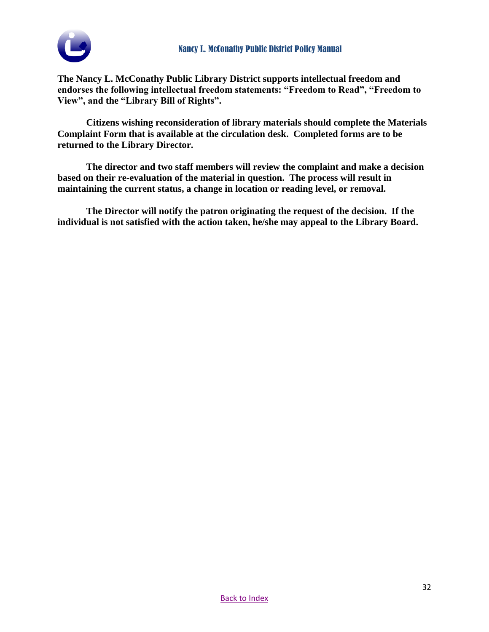

**The Nancy L. McConathy Public Library District supports intellectual freedom and endorses the following intellectual freedom statements: "Freedom to Read", "Freedom to View", and the "Library Bill of Rights".**

**Citizens wishing reconsideration of library materials should complete the Materials Complaint Form that is available at the circulation desk. Completed forms are to be returned to the Library Director.**

**The director and two staff members will review the complaint and make a decision based on their re-evaluation of the material in question. The process will result in maintaining the current status, a change in location or reading level, or removal.**

**The Director will notify the patron originating the request of the decision. If the individual is not satisfied with the action taken, he/she may appeal to the Library Board.**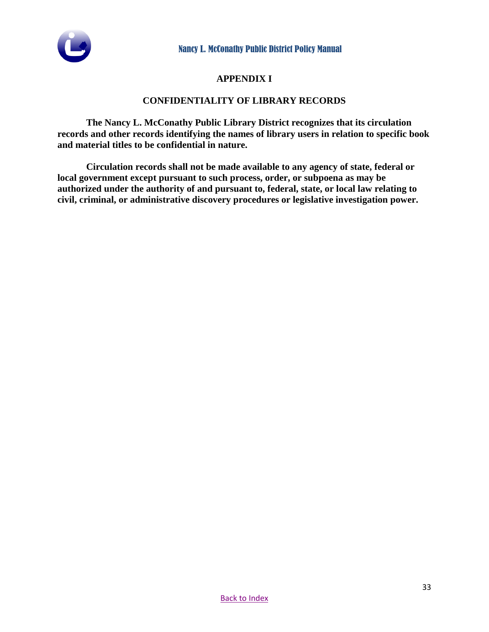

# **APPENDIX I**

# **CONFIDENTIALITY OF LIBRARY RECORDS**

<span id="page-32-0"></span>**The Nancy L. McConathy Public Library District recognizes that its circulation records and other records identifying the names of library users in relation to specific book and material titles to be confidential in nature.**

**Circulation records shall not be made available to any agency of state, federal or local government except pursuant to such process, order, or subpoena as may be authorized under the authority of and pursuant to, federal, state, or local law relating to civil, criminal, or administrative discovery procedures or legislative investigation power.**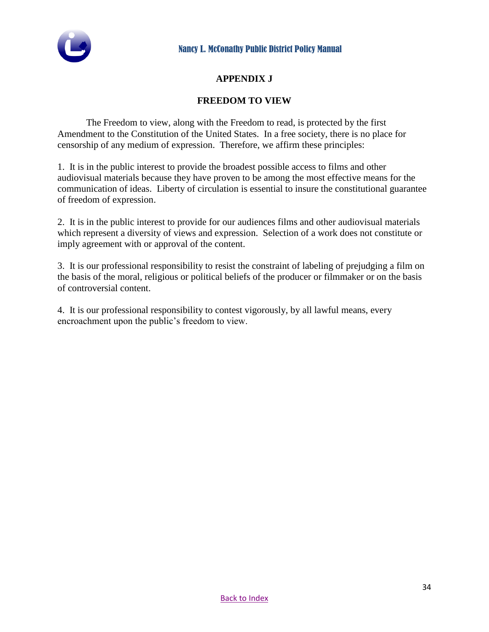

# **APPENDIX J**

# **FREEDOM TO VIEW**

<span id="page-33-0"></span>The Freedom to view, along with the Freedom to read, is protected by the first Amendment to the Constitution of the United States. In a free society, there is no place for censorship of any medium of expression. Therefore, we affirm these principles:

1. It is in the public interest to provide the broadest possible access to films and other audiovisual materials because they have proven to be among the most effective means for the communication of ideas. Liberty of circulation is essential to insure the constitutional guarantee of freedom of expression.

2. It is in the public interest to provide for our audiences films and other audiovisual materials which represent a diversity of views and expression. Selection of a work does not constitute or imply agreement with or approval of the content.

3. It is our professional responsibility to resist the constraint of labeling of prejudging a film on the basis of the moral, religious or political beliefs of the producer or filmmaker or on the basis of controversial content.

4. It is our professional responsibility to contest vigorously, by all lawful means, every encroachment upon the public's freedom to view.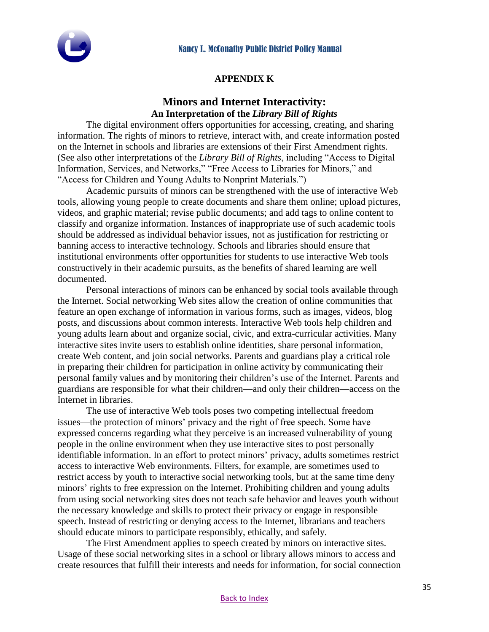

# **APPENDIX K**

## **Minors and Internet Interactivity: An Interpretation of the** *Library Bill of Rights*

<span id="page-34-0"></span>The digital environment offers opportunities for accessing, creating, and sharing information. The rights of minors to retrieve, interact with, and create information posted on the Internet in schools and libraries are extensions of their First Amendment rights. (See also other interpretations of the *Library Bill of Rights*, including "Access to Digital Information, Services, and Networks," "Free Access to Libraries for Minors," and "Access for Children and Young Adults to Nonprint Materials.")

Academic pursuits of minors can be strengthened with the use of interactive Web tools, allowing young people to create documents and share them online; upload pictures, videos, and graphic material; revise public documents; and add tags to online content to classify and organize information. Instances of inappropriate use of such academic tools should be addressed as individual behavior issues, not as justification for restricting or banning access to interactive technology. Schools and libraries should ensure that institutional environments offer opportunities for students to use interactive Web tools constructively in their academic pursuits, as the benefits of shared learning are well documented.

Personal interactions of minors can be enhanced by social tools available through the Internet. Social networking Web sites allow the creation of online communities that feature an open exchange of information in various forms, such as images, videos, blog posts, and discussions about common interests. Interactive Web tools help children and young adults learn about and organize social, civic, and extra-curricular activities. Many interactive sites invite users to establish online identities, share personal information, create Web content, and join social networks. Parents and guardians play a critical role in preparing their children for participation in online activity by communicating their personal family values and by monitoring their children's use of the Internet. Parents and guardians are responsible for what their children—and only their children—access on the Internet in libraries.

The use of interactive Web tools poses two competing intellectual freedom issues—the protection of minors' privacy and the right of free speech. Some have expressed concerns regarding what they perceive is an increased vulnerability of young people in the online environment when they use interactive sites to post personally identifiable information. In an effort to protect minors' privacy, adults sometimes restrict access to interactive Web environments. Filters, for example, are sometimes used to restrict access by youth to interactive social networking tools, but at the same time deny minors' rights to free expression on the Internet. Prohibiting children and young adults from using social networking sites does not teach safe behavior and leaves youth without the necessary knowledge and skills to protect their privacy or engage in responsible speech. Instead of restricting or denying access to the Internet, librarians and teachers should educate minors to participate responsibly, ethically, and safely.

The First Amendment applies to speech created by minors on interactive sites. Usage of these social networking sites in a school or library allows minors to access and create resources that fulfill their interests and needs for information, for social connection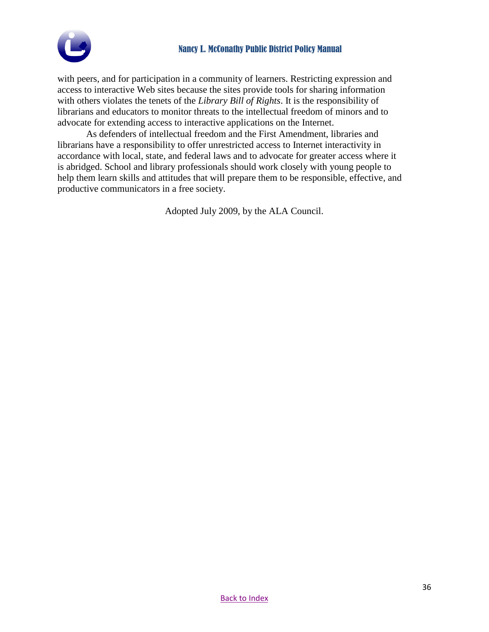

with peers, and for participation in a community of learners. Restricting expression and access to interactive Web sites because the sites provide tools for sharing information with others violates the tenets of the *Library Bill of Rights*. It is the responsibility of librarians and educators to monitor threats to the intellectual freedom of minors and to advocate for extending access to interactive applications on the Internet.

As defenders of intellectual freedom and the First Amendment, libraries and librarians have a responsibility to offer unrestricted access to Internet interactivity in accordance with local, state, and federal laws and to advocate for greater access where it is abridged. School and library professionals should work closely with young people to help them learn skills and attitudes that will prepare them to be responsible, effective, and productive communicators in a free society.

Adopted July 2009, by the ALA Council.